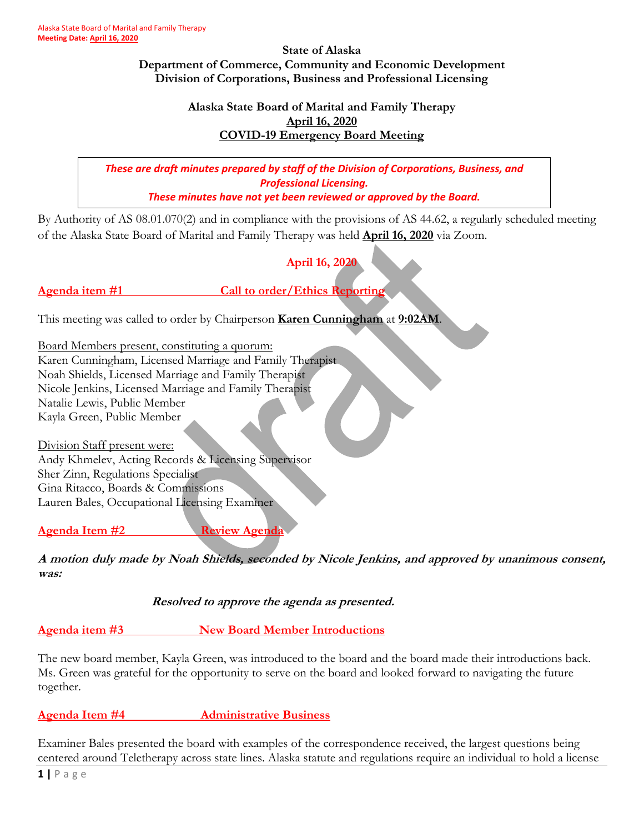**State of Alaska Department of Commerce, Community and Economic Development Division of Corporations, Business and Professional Licensing**

#### **Alaska State Board of Marital and Family Therapy April 16, 2020 COVID-19 Emergency Board Meeting**

*These are draft minutes prepared by staff of the Division of Corporations, Business, and Professional Licensing. These minutes have not yet been reviewed or approved by the Board.*

By Authority of AS 08.01.070(2) and in compliance with the provisions of AS 44.62, a regularly scheduled meeting of the Alaska State Board of Marital and Family Therapy was held **April 16, 2020** via Zoom.

**April 16, 2020**

**Agenda item #1 Call to order/Ethics Reporting**

This meeting was called to order by Chairperson **Karen Cunningham** at **9:02AM**.

Board Members present, constituting a quorum: Karen Cunningham, Licensed Marriage and Family Therapist Noah Shields, Licensed Marriage and Family Therapist Nicole Jenkins, Licensed Marriage and Family Therapist Natalie Lewis, Public Member Kayla Green, Public Member

Division Staff present were: Andy Khmelev, Acting Records & Licensing Supervisor Sher Zinn, Regulations Specialist Gina Ritacco, Boards & Commissions Lauren Bales, Occupational Licensing Examiner

**Agenda Item #2 Review Agenda**

**A motion duly made by Noah Shields, seconded by Nicole Jenkins, and approved by unanimous consent, was:**

**Resolved to approve the agenda as presented.** 

**Agenda item #3 New Board Member Introductions**

The new board member, Kayla Green, was introduced to the board and the board made their introductions back. Ms. Green was grateful for the opportunity to serve on the board and looked forward to navigating the future together.

**Agenda Item #4 Administrative Business**

Examiner Bales presented the board with examples of the correspondence received, the largest questions being centered around Teletherapy across state lines. Alaska statute and regulations require an individual to hold a license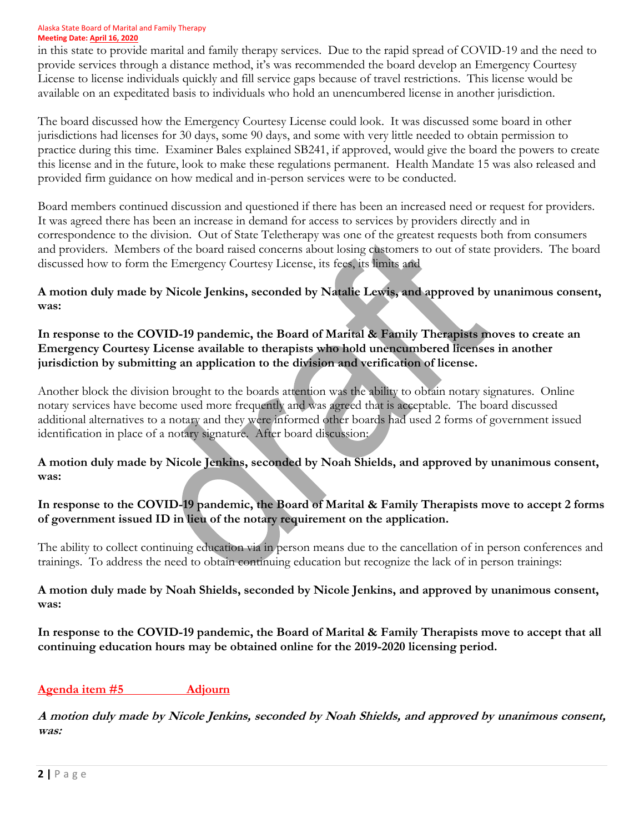#### Alaska State Board of Marital and Family Therapy **Meeting Date: April 16, 2020**

in this state to provide marital and family therapy services. Due to the rapid spread of COVID-19 and the need to provide services through a distance method, it's was recommended the board develop an Emergency Courtesy License to license individuals quickly and fill service gaps because of travel restrictions. This license would be available on an expeditated basis to individuals who hold an unencumbered license in another jurisdiction.

The board discussed how the Emergency Courtesy License could look. It was discussed some board in other jurisdictions had licenses for 30 days, some 90 days, and some with very little needed to obtain permission to practice during this time. Examiner Bales explained SB241, if approved, would give the board the powers to create this license and in the future, look to make these regulations permanent. Health Mandate 15 was also released and provided firm guidance on how medical and in-person services were to be conducted.

Board members continued discussion and questioned if there has been an increased need or request for providers. It was agreed there has been an increase in demand for access to services by providers directly and in correspondence to the division. Out of State Teletherapy was one of the greatest requests both from consumers and providers. Members of the board raised concerns about losing customers to out of state providers. The board discussed how to form the Emergency Courtesy License, its fees, its limits and

**A motion duly made by Nicole Jenkins, seconded by Natalie Lewis, and approved by unanimous consent, was:**

**In response to the COVID-19 pandemic, the Board of Marital & Family Therapists moves to create an Emergency Courtesy License available to therapists who hold unencumbered licenses in another jurisdiction by submitting an application to the division and verification of license.** 

Another block the division brought to the boards attention was the ability to obtain notary signatures. Online notary services have become used more frequently and was agreed that is acceptable. The board discussed additional alternatives to a notary and they were informed other boards had used 2 forms of government issued identification in place of a notary signature. After board discussion:

**A motion duly made by Nicole Jenkins, seconded by Noah Shields, and approved by unanimous consent, was:**

## **In response to the COVID-19 pandemic, the Board of Marital & Family Therapists move to accept 2 forms of government issued ID in lieu of the notary requirement on the application.**

The ability to collect continuing education via in person means due to the cancellation of in person conferences and trainings. To address the need to obtain continuing education but recognize the lack of in person trainings:

**A motion duly made by Noah Shields, seconded by Nicole Jenkins, and approved by unanimous consent, was:**

**In response to the COVID-19 pandemic, the Board of Marital & Family Therapists move to accept that all continuing education hours may be obtained online for the 2019-2020 licensing period.** 

## **Agenda item #5 Adjourn**

**A motion duly made by Nicole Jenkins, seconded by Noah Shields, and approved by unanimous consent, was:**